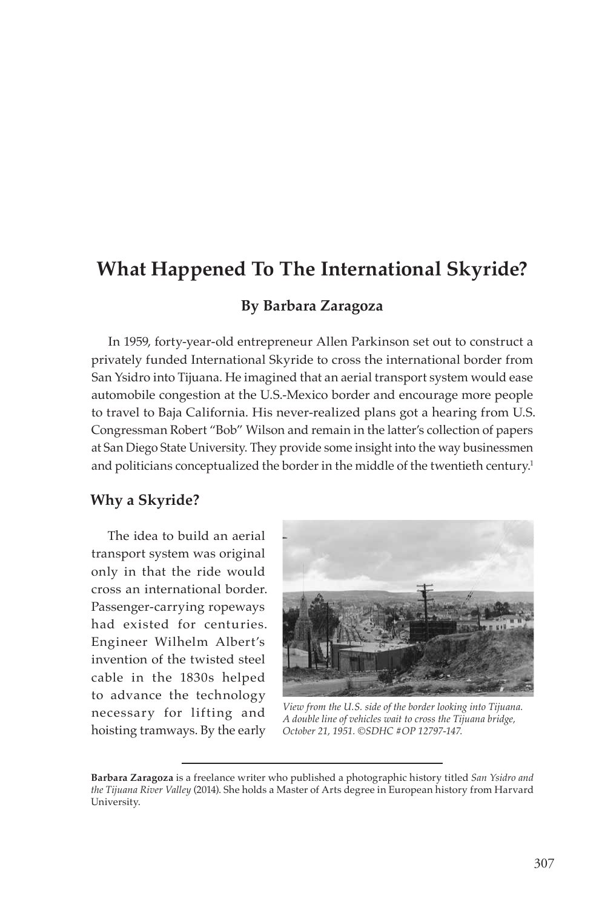# **What Happened To The International Skyride?**

## **By Barbara Zaragoza**

In 1959, forty-year-old entrepreneur Allen Parkinson set out to construct a privately funded International Skyride to cross the international border from San Ysidro into Tijuana. He imagined that an aerial transport system would ease automobile congestion at the U.S.-Mexico border and encourage more people to travel to Baja California. His never-realized plans got a hearing from U.S. Congressman Robert "Bob" Wilson and remain in the latter's collection of papers at San Diego State University. They provide some insight into the way businessmen and politicians conceptualized the border in the middle of the twentieth century.<sup>1</sup>

#### **Why a Skyride?**

The idea to build an aerial transport system was original only in that the ride would cross an international border. Passenger-carrying ropeways had existed for centuries. Engineer Wilhelm Albert's invention of the twisted steel cable in the 1830s helped to advance the technology necessary for lifting and hoisting tramways. By the early



*View from the U.S. side of the border looking into Tijuana. A double line of vehicles wait to cross the Tijuana bridge, October 21, 1951. ©SDHC #OP 12797-147.*

**Barbara Zaragoza** is a freelance writer who published a photographic history titled *San Ysidro and the Tijuana River Valley* (2014). She holds a Master of Arts degree in European history from Harvard University.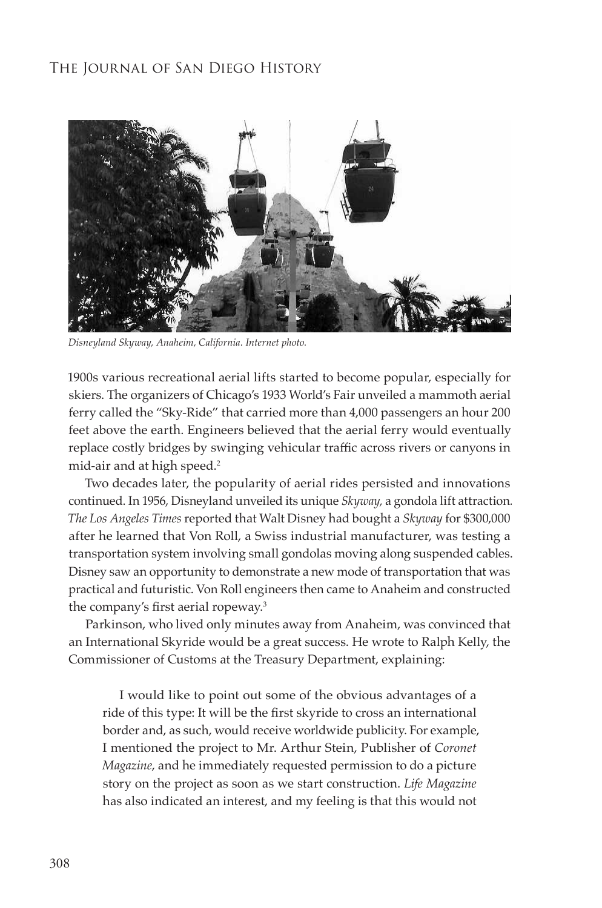

*Disneyland Skyway, Anaheim, California. Internet photo.*

1900s various recreational aerial lifts started to become popular, especially for skiers. The organizers of Chicago's 1933 World's Fair unveiled a mammoth aerial ferry called the "Sky-Ride" that carried more than 4,000 passengers an hour 200 feet above the earth. Engineers believed that the aerial ferry would eventually replace costly bridges by swinging vehicular traffic across rivers or canyons in mid-air and at high speed.<sup>2</sup>

Two decades later, the popularity of aerial rides persisted and innovations continued. In 1956, Disneyland unveiled its unique *Skyway,* a gondola lift attraction*. The Los Angeles Times* reported that Walt Disney had bought a *Skyway* for \$300,000 after he learned that Von Roll, a Swiss industrial manufacturer, was testing a transportation system involving small gondolas moving along suspended cables. Disney saw an opportunity to demonstrate a new mode of transportation that was practical and futuristic. Von Roll engineers then came to Anaheim and constructed the company's first aerial ropeway.<sup>3</sup>

Parkinson, who lived only minutes away from Anaheim, was convinced that an International Skyride would be a great success. He wrote to Ralph Kelly, the Commissioner of Customs at the Treasury Department, explaining:

I would like to point out some of the obvious advantages of a ride of this type: It will be the first skyride to cross an international border and, as such, would receive worldwide publicity. For example, I mentioned the project to Mr. Arthur Stein, Publisher of *Coronet Magazine*, and he immediately requested permission to do a picture story on the project as soon as we start construction. *Life Magazine* has also indicated an interest, and my feeling is that this would not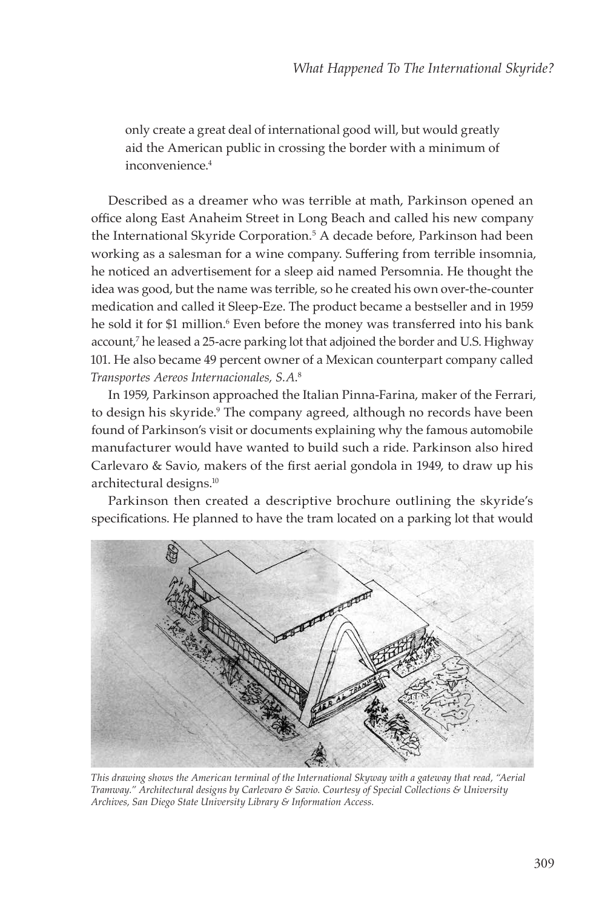only create a great deal of international good will, but would greatly aid the American public in crossing the border with a minimum of inconvenience.<sup>4</sup>

Described as a dreamer who was terrible at math, Parkinson opened an office along East Anaheim Street in Long Beach and called his new company the International Skyride Corporation.5 A decade before, Parkinson had been working as a salesman for a wine company. Suffering from terrible insomnia, he noticed an advertisement for a sleep aid named Persomnia. He thought the idea was good, but the name was terrible, so he created his own over-the-counter medication and called it Sleep-Eze. The product became a bestseller and in 1959 he sold it for \$1 million.<sup>6</sup> Even before the money was transferred into his bank account,7 he leased a 25-acre parking lot that adjoined the border and U.S. Highway 101. He also became 49 percent owner of a Mexican counterpart company called *Transportes Aereos Internacionales, S.A*. 8

In 1959, Parkinson approached the Italian Pinna-Farina, maker of the Ferrari, to design his skyride.<sup>9</sup> The company agreed, although no records have been found of Parkinson's visit or documents explaining why the famous automobile manufacturer would have wanted to build such a ride. Parkinson also hired Carlevaro & Savio, makers of the first aerial gondola in 1949, to draw up his architectural designs.10

Parkinson then created a descriptive brochure outlining the skyride's specifications. He planned to have the tram located on a parking lot that would



*This drawing shows the American terminal of the International Skyway with a gateway that read, "Aerial Tramway." Architectural designs by Carlevaro & Savio. Courtesy of Special Collections & University Archives, San Diego State University Library & Information Access.*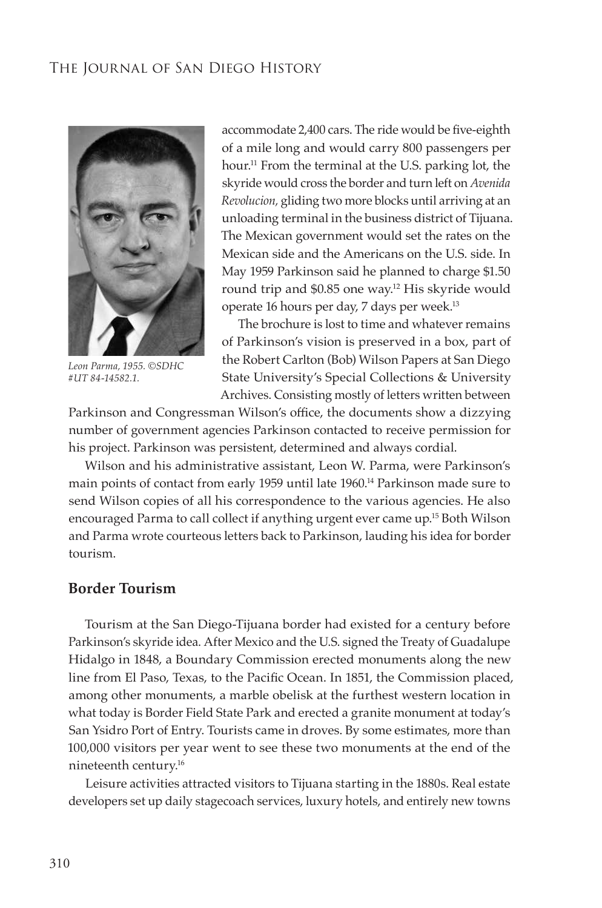

*Leon Parma, 1955. ©SDHC #UT 84-14582.1.*

accommodate 2,400 cars. The ride would be five-eighth of a mile long and would carry 800 passengers per hour.11 From the terminal at the U.S. parking lot, the skyride would cross the border and turn left on *Avenida Revolucion,* gliding two more blocks until arriving at an unloading terminal in the business district of Tijuana. The Mexican government would set the rates on the Mexican side and the Americans on the U.S. side. In May 1959 Parkinson said he planned to charge \$1.50 round trip and \$0.85 one way.<sup>12</sup> His skyride would operate 16 hours per day, 7 days per week.13

The brochure is lost to time and whatever remains of Parkinson's vision is preserved in a box, part of the Robert Carlton (Bob) Wilson Papers at San Diego State University's Special Collections & University Archives. Consisting mostly of letters written between

Parkinson and Congressman Wilson's office, the documents show a dizzying number of government agencies Parkinson contacted to receive permission for his project. Parkinson was persistent, determined and always cordial.

Wilson and his administrative assistant, Leon W. Parma, were Parkinson's main points of contact from early 1959 until late 1960.<sup>14</sup> Parkinson made sure to send Wilson copies of all his correspondence to the various agencies. He also encouraged Parma to call collect if anything urgent ever came up.<sup>15</sup> Both Wilson and Parma wrote courteous letters back to Parkinson, lauding his idea for border tourism.

#### **Border Tourism**

Tourism at the San Diego-Tijuana border had existed for a century before Parkinson's skyride idea. After Mexico and the U.S. signed the Treaty of Guadalupe Hidalgo in 1848, a Boundary Commission erected monuments along the new line from El Paso, Texas, to the Pacific Ocean. In 1851, the Commission placed, among other monuments, a marble obelisk at the furthest western location in what today is Border Field State Park and erected a granite monument at today's San Ysidro Port of Entry. Tourists came in droves. By some estimates, more than 100,000 visitors per year went to see these two monuments at the end of the nineteenth century.16

Leisure activities attracted visitors to Tijuana starting in the 1880s. Real estate developers set up daily stagecoach services, luxury hotels, and entirely new towns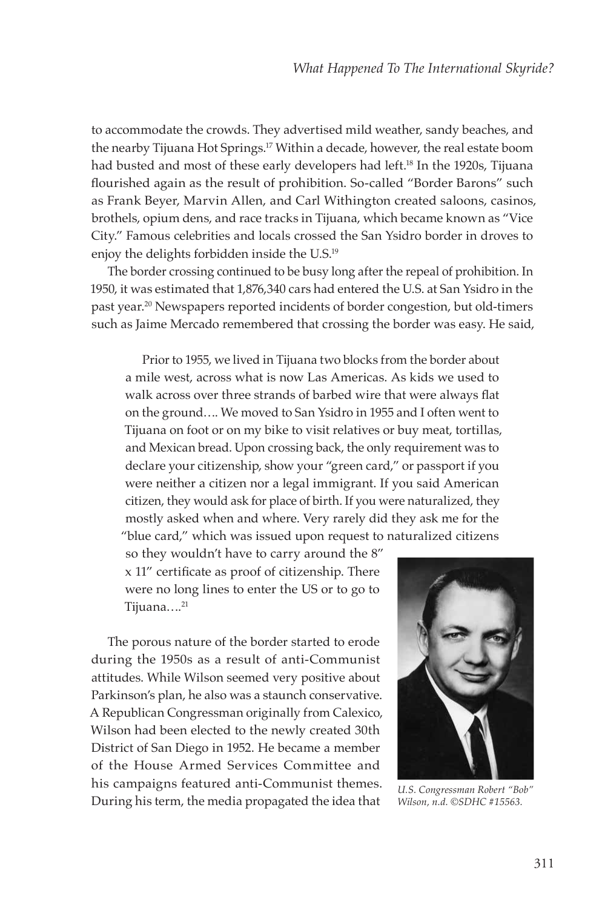to accommodate the crowds. They advertised mild weather, sandy beaches, and the nearby Tijuana Hot Springs.<sup>17</sup> Within a decade, however, the real estate boom had busted and most of these early developers had left.<sup>18</sup> In the 1920s, Tijuana flourished again as the result of prohibition. So-called "Border Barons" such as Frank Beyer, Marvin Allen, and Carl Withington created saloons, casinos, brothels, opium dens, and race tracks in Tijuana, which became known as "Vice City." Famous celebrities and locals crossed the San Ysidro border in droves to enjoy the delights forbidden inside the U.S.19

The border crossing continued to be busy long after the repeal of prohibition. In 1950, it was estimated that 1,876,340 cars had entered the U.S. at San Ysidro in the past year.20 Newspapers reported incidents of border congestion, but old-timers such as Jaime Mercado remembered that crossing the border was easy. He said,

Prior to 1955, we lived in Tijuana two blocks from the border about a mile west, across what is now Las Americas. As kids we used to walk across over three strands of barbed wire that were always flat on the ground…. We moved to San Ysidro in 1955 and I often went to Tijuana on foot or on my bike to visit relatives or buy meat, tortillas, and Mexican bread. Upon crossing back, the only requirement was to declare your citizenship, show your "green card," or passport if you were neither a citizen nor a legal immigrant. If you said American citizen, they would ask for place of birth. If you were naturalized, they mostly asked when and where. Very rarely did they ask me for the "blue card," which was issued upon request to naturalized citizens

so they wouldn't have to carry around the 8" x 11" certificate as proof of citizenship. There were no long lines to enter the US or to go to Tijuana...<sup>21</sup>

The porous nature of the border started to erode during the 1950s as a result of anti-Communist attitudes. While Wilson seemed very positive about Parkinson's plan, he also was a staunch conservative. A Republican Congressman originally from Calexico, Wilson had been elected to the newly created 30th District of San Diego in 1952. He became a member of the House Armed Services Committee and his campaigns featured anti-Communist themes. During his term, the media propagated the idea that *U.S. Congressman Robert "Bob"* 



*Wilson, n.d. ©SDHC #15563.*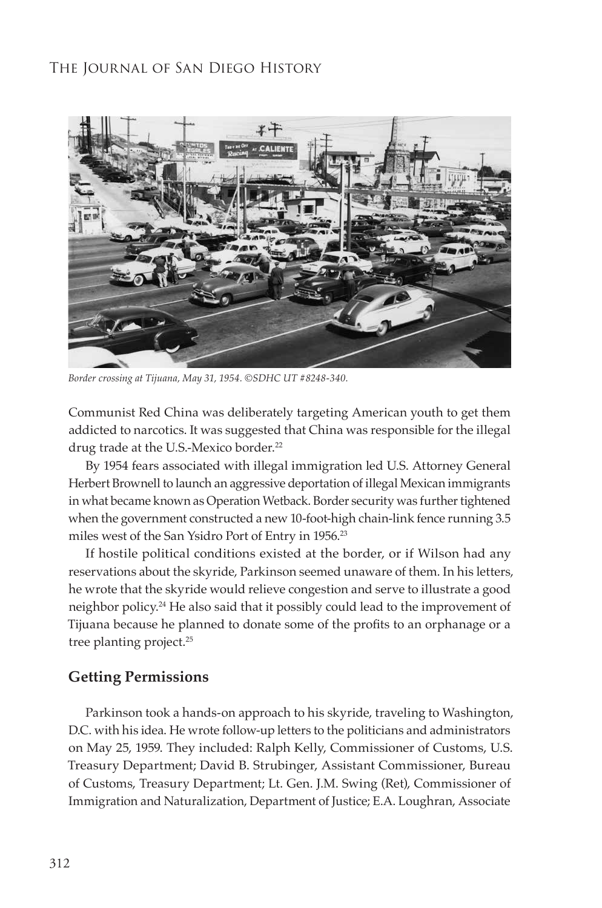

*Border crossing at Tijuana, May 31, 1954. ©SDHC UT #8248-340.*

Communist Red China was deliberately targeting American youth to get them addicted to narcotics. It was suggested that China was responsible for the illegal drug trade at the U.S.-Mexico border.<sup>22</sup>

By 1954 fears associated with illegal immigration led U.S. Attorney General Herbert Brownell to launch an aggressive deportation of illegal Mexican immigrants in what became known as Operation Wetback. Border security was further tightened when the government constructed a new 10-foot-high chain-link fence running 3.5 miles west of the San Ysidro Port of Entry in 1956.<sup>23</sup>

If hostile political conditions existed at the border, or if Wilson had any reservations about the skyride, Parkinson seemed unaware of them. In his letters, he wrote that the skyride would relieve congestion and serve to illustrate a good neighbor policy.24 He also said that it possibly could lead to the improvement of Tijuana because he planned to donate some of the profits to an orphanage or a tree planting project.<sup>25</sup>

#### **Getting Permissions**

Parkinson took a hands-on approach to his skyride, traveling to Washington, D.C. with his idea. He wrote follow-up letters to the politicians and administrators on May 25, 1959. They included: Ralph Kelly, Commissioner of Customs, U.S. Treasury Department; David B. Strubinger, Assistant Commissioner, Bureau of Customs, Treasury Department; Lt. Gen. J.M. Swing (Ret), Commissioner of Immigration and Naturalization, Department of Justice; E.A. Loughran, Associate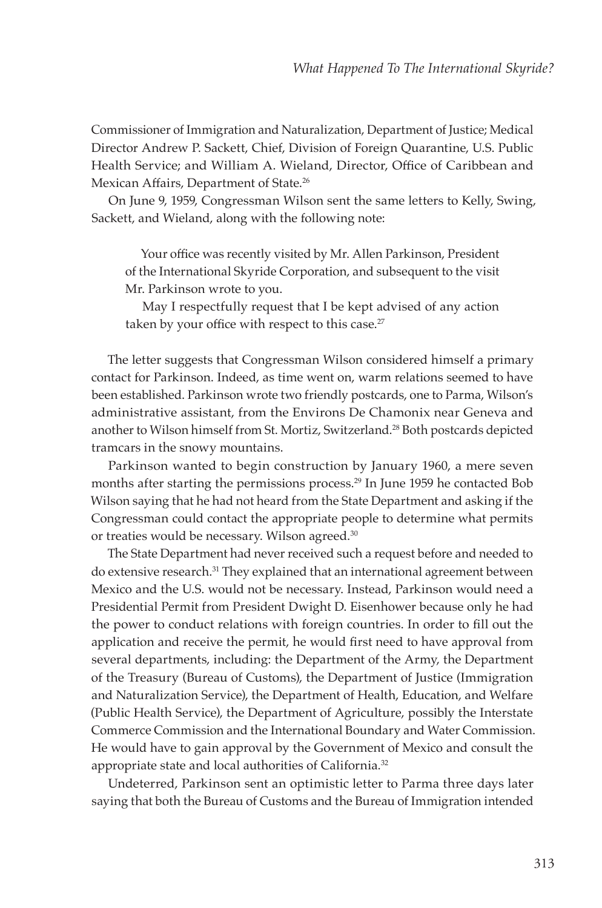Commissioner of Immigration and Naturalization, Department of Justice; Medical Director Andrew P. Sackett, Chief, Division of Foreign Quarantine, U.S. Public Health Service; and William A. Wieland, Director, Office of Caribbean and Mexican Affairs, Department of State.<sup>26</sup>

On June 9, 1959, Congressman Wilson sent the same letters to Kelly, Swing, Sackett, and Wieland, along with the following note:

Your office was recently visited by Mr. Allen Parkinson, President of the International Skyride Corporation, and subsequent to the visit Mr. Parkinson wrote to you.

May I respectfully request that I be kept advised of any action taken by your office with respect to this case.<sup>27</sup>

The letter suggests that Congressman Wilson considered himself a primary contact for Parkinson. Indeed, as time went on, warm relations seemed to have been established. Parkinson wrote two friendly postcards, one to Parma, Wilson's administrative assistant, from the Environs De Chamonix near Geneva and another to Wilson himself from St. Mortiz, Switzerland.28 Both postcards depicted tramcars in the snowy mountains.

Parkinson wanted to begin construction by January 1960, a mere seven months after starting the permissions process.<sup>29</sup> In June 1959 he contacted Bob Wilson saying that he had not heard from the State Department and asking if the Congressman could contact the appropriate people to determine what permits or treaties would be necessary. Wilson agreed.30

The State Department had never received such a request before and needed to do extensive research.31 They explained that an international agreement between Mexico and the U.S. would not be necessary. Instead, Parkinson would need a Presidential Permit from President Dwight D. Eisenhower because only he had the power to conduct relations with foreign countries. In order to fill out the application and receive the permit, he would first need to have approval from several departments, including: the Department of the Army, the Department of the Treasury (Bureau of Customs), the Department of Justice (Immigration and Naturalization Service), the Department of Health, Education, and Welfare (Public Health Service), the Department of Agriculture, possibly the Interstate Commerce Commission and the International Boundary and Water Commission. He would have to gain approval by the Government of Mexico and consult the appropriate state and local authorities of California.<sup>32</sup>

Undeterred, Parkinson sent an optimistic letter to Parma three days later saying that both the Bureau of Customs and the Bureau of Immigration intended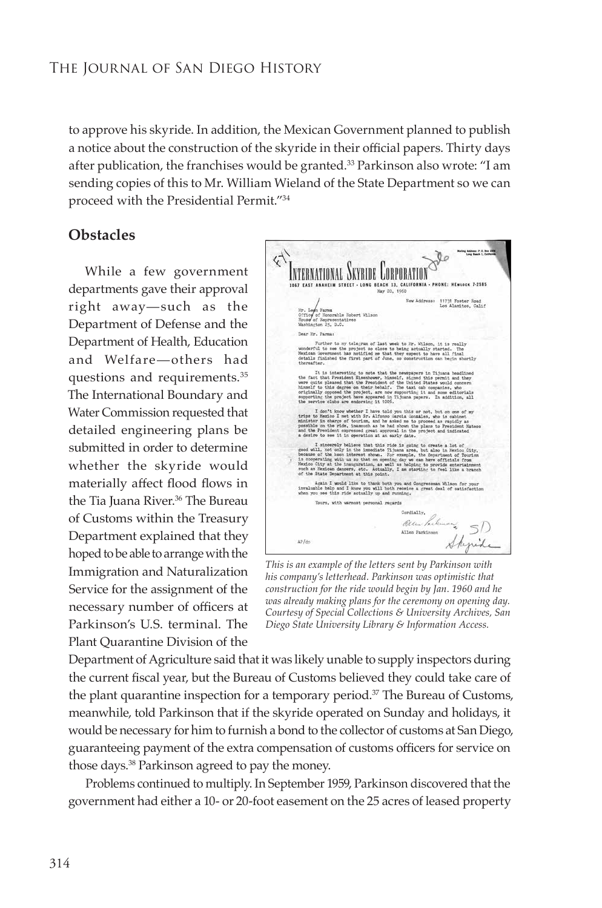to approve his skyride. In addition, the Mexican Government planned to publish a notice about the construction of the skyride in their official papers. Thirty days after publication, the franchises would be granted.33 Parkinson also wrote: "I am sending copies of this to Mr. William Wieland of the State Department so we can proceed with the Presidential Permit."34

## **Obstacles**

While a few government departments gave their approval right away—such as the Department of Defense and the Department of Health, Education and Welfare—others had questions and requirements.35 The International Boundary and Water Commission requested that detailed engineering plans be submitted in order to determine whether the skyride would materially affect flood flows in the Tia Juana River.<sup>36</sup> The Bureau of Customs within the Treasury Department explained that they hoped to be able to arrange with the Immigration and Naturalization Service for the assignment of the necessary number of officers at Parkinson's U.S. terminal. The Plant Quarantine Division of the



*This is an example of the letters sent by Parkinson with his company's letterhead. Parkinson was optimistic that construction for the ride would begin by Jan. 1960 and he was already making plans for the ceremony on opening day. Courtesy of Special Collections & University Archives, San Diego State University Library & Information Access.*

Department of Agriculture said that it was likely unable to supply inspectors during the current fiscal year, but the Bureau of Customs believed they could take care of the plant quarantine inspection for a temporary period.<sup>37</sup> The Bureau of Customs, meanwhile, told Parkinson that if the skyride operated on Sunday and holidays, it would be necessary for him to furnish a bond to the collector of customs at San Diego, guaranteeing payment of the extra compensation of customs officers for service on those days.38 Parkinson agreed to pay the money.

Problems continued to multiply. In September 1959, Parkinson discovered that the government had either a 10- or 20-foot easement on the 25 acres of leased property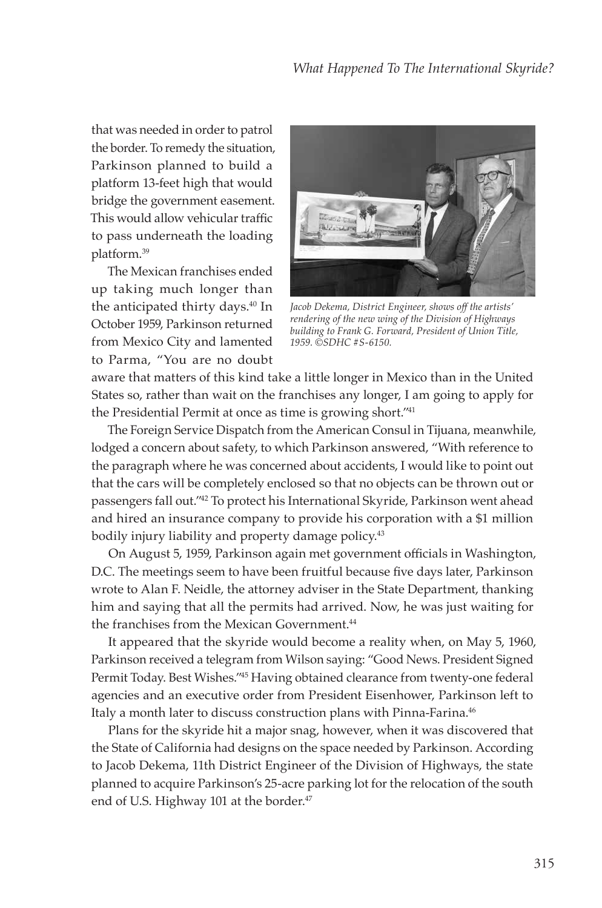that was needed in order to patrol the border. To remedy the situation, Parkinson planned to build a platform 13-feet high that would bridge the government easement. This would allow vehicular traffic to pass underneath the loading platform.39

The Mexican franchises ended up taking much longer than the anticipated thirty days.<sup>40</sup> In October 1959, Parkinson returned from Mexico City and lamented to Parma, "You are no doubt



*Jacob Dekema, District Engineer, shows off the artists' rendering of the new wing of the Division of Highways building to Frank G. Forward, President of Union Title, 1959. ©SDHC #S-6150.*

aware that matters of this kind take a little longer in Mexico than in the United States so, rather than wait on the franchises any longer, I am going to apply for the Presidential Permit at once as time is growing short."41

The Foreign Service Dispatch from the American Consul in Tijuana, meanwhile, lodged a concern about safety, to which Parkinson answered, "With reference to the paragraph where he was concerned about accidents, I would like to point out that the cars will be completely enclosed so that no objects can be thrown out or passengers fall out."42 To protect his International Skyride, Parkinson went ahead and hired an insurance company to provide his corporation with a \$1 million bodily injury liability and property damage policy.<sup>43</sup>

On August 5, 1959, Parkinson again met government officials in Washington, D.C. The meetings seem to have been fruitful because five days later, Parkinson wrote to Alan F. Neidle, the attorney adviser in the State Department, thanking him and saying that all the permits had arrived. Now, he was just waiting for the franchises from the Mexican Government.<sup>44</sup>

It appeared that the skyride would become a reality when, on May 5, 1960, Parkinson received a telegram from Wilson saying: "Good News. President Signed Permit Today. Best Wishes."45 Having obtained clearance from twenty-one federal agencies and an executive order from President Eisenhower, Parkinson left to Italy a month later to discuss construction plans with Pinna-Farina.<sup>46</sup>

Plans for the skyride hit a major snag, however, when it was discovered that the State of California had designs on the space needed by Parkinson. According to Jacob Dekema, 11th District Engineer of the Division of Highways, the state planned to acquire Parkinson's 25-acre parking lot for the relocation of the south end of U.S. Highway 101 at the border.<sup>47</sup>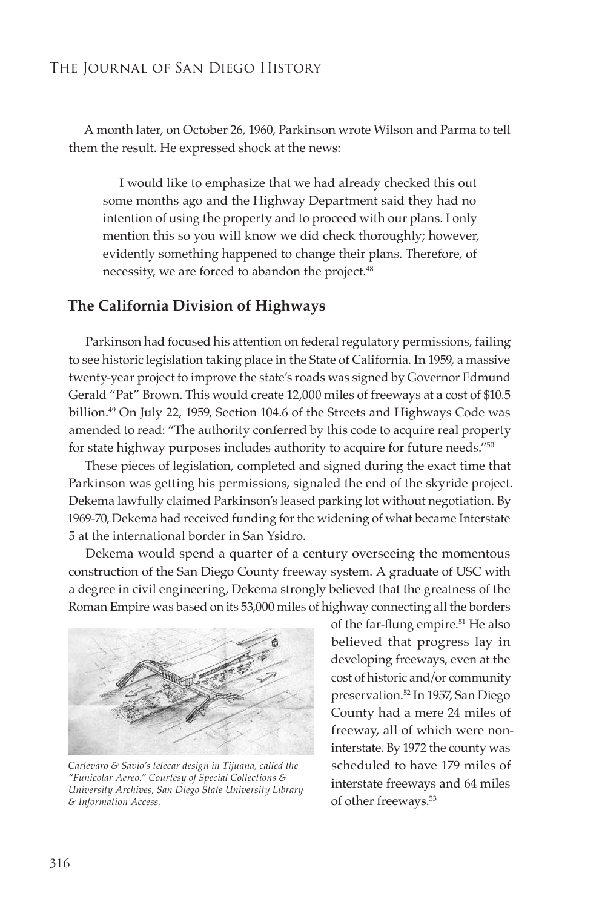A month later, on October 26, 1960, Parkinson wrote Wilson and Parma to tell them the result. He expressed shock at the news:

I would like to emphasize that we had already checked this out some months ago and the Highway Department said they had no intention of using the property and to proceed with our plans. I only mention this so you will know we did check thoroughly; however, evidently something happened to change their plans. Therefore, of necessity, we are forced to abandon the project.<sup>48</sup>

#### **The California Division of Highways**

Parkinson had focused his attention on federal regulatory permissions, failing to see historic legislation taking place in the State of California. In 1959, a massive twenty-year project to improve the state's roads was signed by Governor Edmund Gerald "Pat" Brown. This would create 12,000 miles of freeways at a cost of \$10.5 billion.<sup>49</sup> On July 22, 1959, Section 104.6 of the Streets and Highways Code was amended to read: "The authority conferred by this code to acquire real property for state highway purposes includes authority to acquire for future needs."50

These pieces of legislation, completed and signed during the exact time that Parkinson was getting his permissions, signaled the end of the skyride project. Dekema lawfully claimed Parkinson's leased parking lot without negotiation. By 1969-70, Dekema had received funding for the widening of what became Interstate 5 at the international border in San Ysidro.

Dekema would spend a quarter of a century overseeing the momentous construction of the San Diego County freeway system. A graduate of USC with a degree in civil engineering, Dekema strongly believed that the greatness of the Roman Empire was based on its 53,000 miles of highway connecting all the borders



*Carlevaro & Savio's telecar design in Tijuana, called the "Funicolar Aereo." Courtesy of Special Collections & University Archives, San Diego State University Library & Information Access.*

of the far-flung empire.<sup>51</sup> He also believed that progress lay in developing freeways, even at the cost of historic and/or community preservation.52 In 1957, San Diego County had a mere 24 miles of freeway, all of which were noninterstate. By 1972 the county was scheduled to have 179 miles of interstate freeways and 64 miles of other freeways.<sup>53</sup>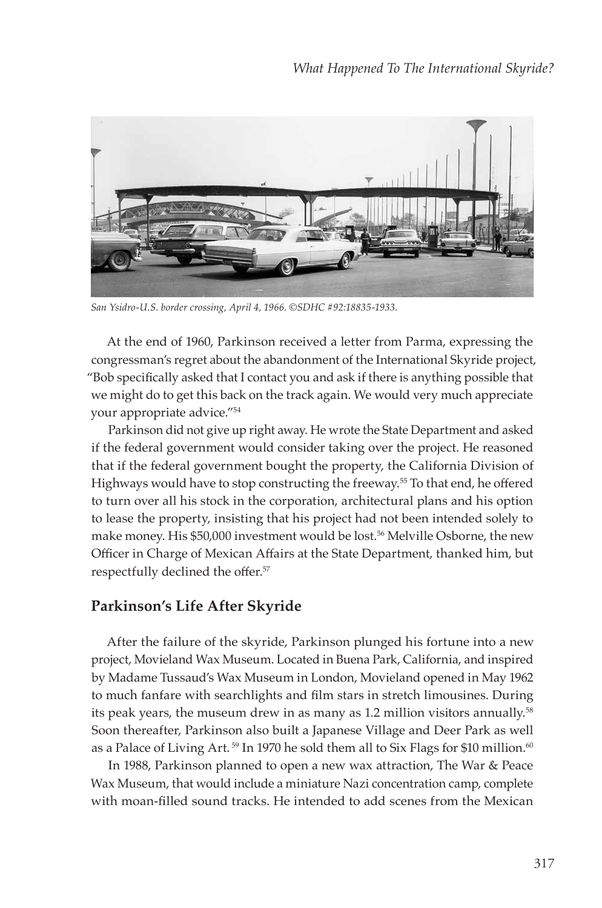

*San Ysidro-U.S. border crossing, April 4, 1966. ©SDHC #92:18835-1933.*

At the end of 1960, Parkinson received a letter from Parma, expressing the congressman's regret about the abandonment of the International Skyride project, "Bob specifically asked that I contact you and ask if there is anything possible that we might do to get this back on the track again. We would very much appreciate your appropriate advice."54

Parkinson did not give up right away. He wrote the State Department and asked if the federal government would consider taking over the project. He reasoned that if the federal government bought the property, the California Division of Highways would have to stop constructing the freeway.55 To that end, he offered to turn over all his stock in the corporation, architectural plans and his option to lease the property, insisting that his project had not been intended solely to make money. His \$50,000 investment would be lost.56 Melville Osborne, the new Officer in Charge of Mexican Affairs at the State Department, thanked him, but respectfully declined the offer.<sup>57</sup>

# **Parkinson's Life After Skyride**

After the failure of the skyride, Parkinson plunged his fortune into a new project, Movieland Wax Museum. Located in Buena Park, California, and inspired by Madame Tussaud's Wax Museum in London, Movieland opened in May 1962 to much fanfare with searchlights and film stars in stretch limousines. During its peak years, the museum drew in as many as 1.2 million visitors annually.58 Soon thereafter, Parkinson also built a Japanese Village and Deer Park as well as a Palace of Living Art.<sup>59</sup> In 1970 he sold them all to Six Flags for \$10 million.<sup>60</sup>

In 1988, Parkinson planned to open a new wax attraction, The War & Peace Wax Museum, that would include a miniature Nazi concentration camp, complete with moan-filled sound tracks. He intended to add scenes from the Mexican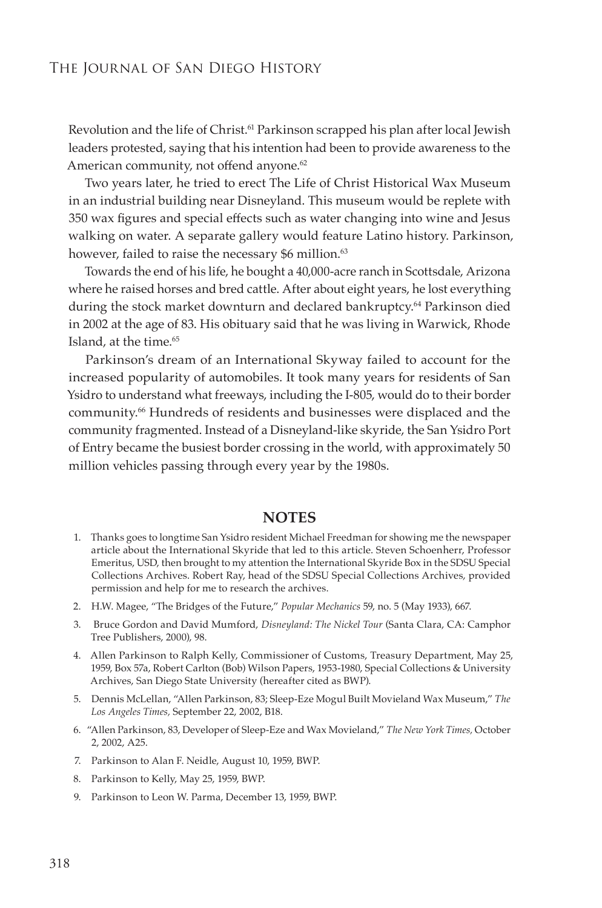Revolution and the life of Christ.<sup>61</sup> Parkinson scrapped his plan after local Jewish leaders protested, saying that his intention had been to provide awareness to the American community, not offend anyone.<sup>62</sup>

Two years later, he tried to erect The Life of Christ Historical Wax Museum in an industrial building near Disneyland. This museum would be replete with 350 wax figures and special effects such as water changing into wine and Jesus walking on water. A separate gallery would feature Latino history. Parkinson, however, failed to raise the necessary \$6 million.<sup>63</sup>

Towards the end of his life, he bought a 40,000-acre ranch in Scottsdale, Arizona where he raised horses and bred cattle. After about eight years, he lost everything during the stock market downturn and declared bankruptcy.<sup>64</sup> Parkinson died in 2002 at the age of 83. His obituary said that he was living in Warwick, Rhode Island, at the time.<sup>65</sup>

Parkinson's dream of an International Skyway failed to account for the increased popularity of automobiles. It took many years for residents of San Ysidro to understand what freeways, including the I-805, would do to their border community.66 Hundreds of residents and businesses were displaced and the community fragmented. Instead of a Disneyland-like skyride, the San Ysidro Port of Entry became the busiest border crossing in the world, with approximately 50 million vehicles passing through every year by the 1980s.

#### **NOTES**

- 1. Thanks goes to longtime San Ysidro resident Michael Freedman for showing me the newspaper article about the International Skyride that led to this article. Steven Schoenherr, Professor Emeritus, USD, then brought to my attention the International Skyride Box in the SDSU Special Collections Archives. Robert Ray, head of the SDSU Special Collections Archives, provided permission and help for me to research the archives.
- 2. H.W. Magee, "The Bridges of the Future," *Popular Mechanics* 59, no. 5 (May 1933), 667.
- 3. Bruce Gordon and David Mumford, *Disneyland: The Nickel Tour* (Santa Clara, CA: Camphor Tree Publishers, 2000), 98.
- 4. Allen Parkinson to Ralph Kelly, Commissioner of Customs, Treasury Department, May 25, 1959, Box 57a, Robert Carlton (Bob) Wilson Papers, 1953-1980, Special Collections & University Archives, San Diego State University (hereafter cited as BWP).
- 5. Dennis McLellan, "Allen Parkinson, 83; Sleep-Eze Mogul Built Movieland Wax Museum," *The Los Angeles Times,* September 22, 2002, B18.
- 6. "Allen Parkinson, 83, Developer of Sleep-Eze and Wax Movieland," *The New York Times,* October 2, 2002, A25.
- 7. Parkinson to Alan F. Neidle, August 10, 1959, BWP.
- 8. Parkinson to Kelly, May 25, 1959, BWP.
- 9. Parkinson to Leon W. Parma, December 13, 1959, BWP.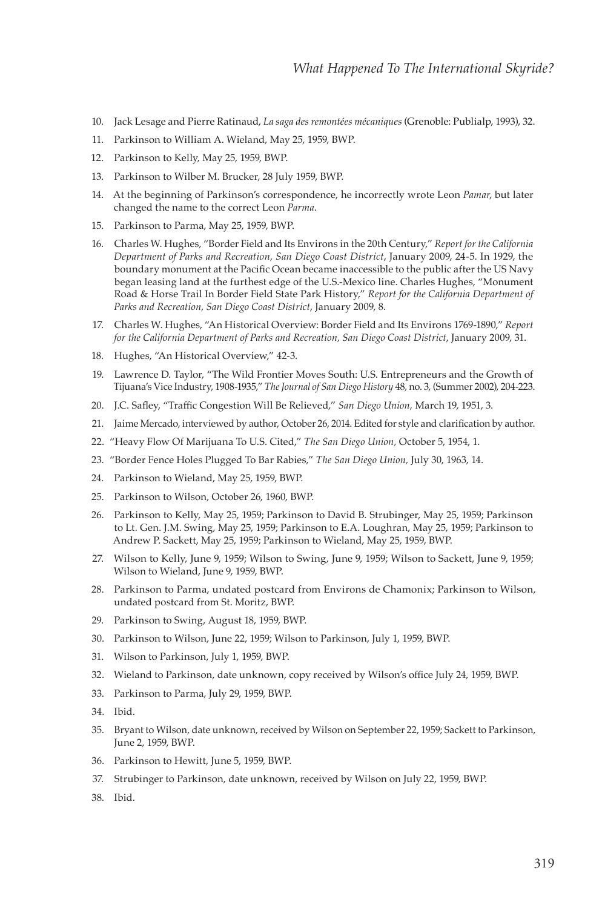- 10. Jack Lesage and Pierre Ratinaud, *La saga des remontées mécaniques* (Grenoble: Publialp, 1993), 32.
- 11. Parkinson to William A. Wieland, May 25, 1959, BWP.
- 12. Parkinson to Kelly, May 25, 1959, BWP.
- 13. Parkinson to Wilber M. Brucker, 28 July 1959, BWP.
- 14. At the beginning of Parkinson's correspondence, he incorrectly wrote Leon *Pamar*, but later changed the name to the correct Leon *Parma*.
- 15. Parkinson to Parma, May 25, 1959, BWP.
- 16. Charles W. Hughes, "Border Field and Its Environs in the 20th Century," *Report for the California Department of Parks and Recreation, San Diego Coast District*, January 2009, 24-5. In 1929, the boundary monument at the Pacific Ocean became inaccessible to the public after the US Navy began leasing land at the furthest edge of the U.S.-Mexico line. Charles Hughes, "Monument Road & Horse Trail In Border Field State Park History," *Report for the California Department of Parks and Recreation, San Diego Coast District*, January 2009, 8.
- 17. Charles W. Hughes, "An Historical Overview: Border Field and Its Environs 1769-1890," *Report for the California Department of Parks and Recreation, San Diego Coast District*, January 2009, 31.
- 18. Hughes, "An Historical Overview," 42-3.
- 19. Lawrence D. Taylor, "The Wild Frontier Moves South: U.S. Entrepreneurs and the Growth of Tijuana's Vice Industry, 1908-1935," *The Journal of San Diego History* 48, no. 3, (Summer 2002), 204-223.
- 20. J.C. Safley, "Traffic Congestion Will Be Relieved," *San Diego Union,* March 19, 1951, 3.
- 21. Jaime Mercado, interviewed by author, October 26, 2014. Edited for style and clarification by author.
- 22. "Heavy Flow Of Marijuana To U.S. Cited," *The San Diego Union,* October 5, 1954, 1.
- 23. "Border Fence Holes Plugged To Bar Rabies," *The San Diego Union,* July 30, 1963, 14.
- 24. Parkinson to Wieland, May 25, 1959, BWP.
- 25. Parkinson to Wilson, October 26, 1960, BWP.
- 26. Parkinson to Kelly, May 25, 1959; Parkinson to David B. Strubinger, May 25, 1959; Parkinson to Lt. Gen. J.M. Swing, May 25, 1959; Parkinson to E.A. Loughran, May 25, 1959; Parkinson to Andrew P. Sackett, May 25, 1959; Parkinson to Wieland, May 25, 1959, BWP.
- 27. Wilson to Kelly, June 9, 1959; Wilson to Swing, June 9, 1959; Wilson to Sackett, June 9, 1959; Wilson to Wieland, June 9, 1959, BWP.
- 28. Parkinson to Parma, undated postcard from Environs de Chamonix; Parkinson to Wilson, undated postcard from St. Moritz, BWP.
- 29. Parkinson to Swing, August 18, 1959, BWP.
- 30. Parkinson to Wilson, June 22, 1959; Wilson to Parkinson, July 1, 1959, BWP.
- 31. Wilson to Parkinson, July 1, 1959, BWP.
- 32. Wieland to Parkinson, date unknown, copy received by Wilson's office July 24, 1959, BWP.
- 33. Parkinson to Parma, July 29, 1959, BWP.
- 34. Ibid.
- 35. Bryant to Wilson, date unknown, received by Wilson on September 22, 1959; Sackett to Parkinson, June 2, 1959, BWP.
- 36. Parkinson to Hewitt, June 5, 1959, BWP.
- 37. Strubinger to Parkinson, date unknown, received by Wilson on July 22, 1959, BWP.
- 38. Ibid.